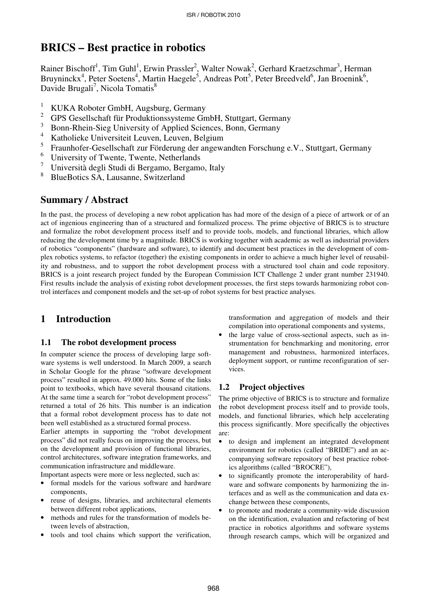# **BRICS – Best practice in robotics**

Rainer Bischoff<sup>1</sup>, Tim Guhl<sup>1</sup>, Erwin Prassler<sup>2</sup>, Walter Nowak<sup>2</sup>, Gerhard Kraetzschmar<sup>3</sup>, Herman Bruyninckx<sup>4</sup>, Peter Soetens<sup>4</sup>, Martin Haegele<sup>5</sup>, Andreas Pott<sup>5</sup>, Peter Breedveld<sup>6</sup>, Jan Broenink<sup>6</sup>, Davide Brugali<sup>7</sup>, Nicola Tomatis<sup>8</sup>

- 1 KUKA Roboter GmbH, Augsburg, Germany
- 2 GPS Gesellschaft für Produktionssysteme GmbH, Stuttgart, Germany
- 3 Bonn-Rhein-Sieg University of Applied Sciences, Bonn, Germany
- 4 Katholieke Universiteit Leuven, Leuven, Belgium
- 5 Fraunhofer-Gesellschaft zur Förderung der angewandten Forschung e.V., Stuttgart, Germany
- 6 University of Twente, Twente, Netherlands
- 7 Università degli Studi di Bergamo, Bergamo, Italy
- 8 BlueBotics SA, Lausanne, Switzerland

# **Summary / Abstract**

In the past, the process of developing a new robot application has had more of the design of a piece of artwork or of an act of ingenious engineering than of a structured and formalized process. The prime objective of BRICS is to structure and formalize the robot development process itself and to provide tools, models, and functional libraries, which allow reducing the development time by a magnitude. BRICS is working together with academic as well as industrial providers of robotics "components" (hardware and software), to identify and document best practices in the development of complex robotics systems, to refactor (together) the existing components in order to achieve a much higher level of reusability and robustness, and to support the robot development process with a structured tool chain and code repository. BRICS is a joint research project funded by the European Commission ICT Challenge 2 under grant number 231940. First results include the analysis of existing robot development processes, the first steps towards harmonizing robot control interfaces and component models and the set-up of robot systems for best practice analyses.

# **1 Introduction**

### **1.1 The robot development process**

In computer science the process of developing large software systems is well understood. In March 2009, a search in Scholar Google for the phrase "software development process" resulted in approx. 49.000 hits. Some of the links point to textbooks, which have several thousand citations. At the same time a search for "robot development process" returned a total of 26 hits. This number is an indication that a formal robot development process has to date not been well established as a structured formal process.

Earlier attempts in supporting the "robot development process" did not really focus on improving the process, but on the development and provision of functional libraries, control architectures, software integration frameworks, and communication infrastructure and middleware.

Important aspects were more or less neglected, such as:

- formal models for the various software and hardware components,
- reuse of designs, libraries, and architectural elements between different robot applications,
- methods and rules for the transformation of models between levels of abstraction,
- tools and tool chains which support the verification,

transformation and aggregation of models and their compilation into operational components and systems,

• the large value of cross-sectional aspects, such as instrumentation for benchmarking and monitoring, error management and robustness, harmonized interfaces, deployment support, or runtime reconfiguration of services.

## **1.2 Project objectives**

The prime objective of BRICS is to structure and formalize the robot development process itself and to provide tools, models, and functional libraries, which help accelerating this process significantly. More specifically the objectives are:

- to design and implement an integrated development environment for robotics (called "BRIDE") and an accompanying software repository of best practice robotics algorithms (called "BROCRE"),
- to significantly promote the interoperability of hardware and software components by harmonizing the interfaces and as well as the communication and data exchange between these components,
- to promote and moderate a community-wide discussion on the identification, evaluation and refactoring of best practice in robotics algorithms and software systems through research camps, which will be organized and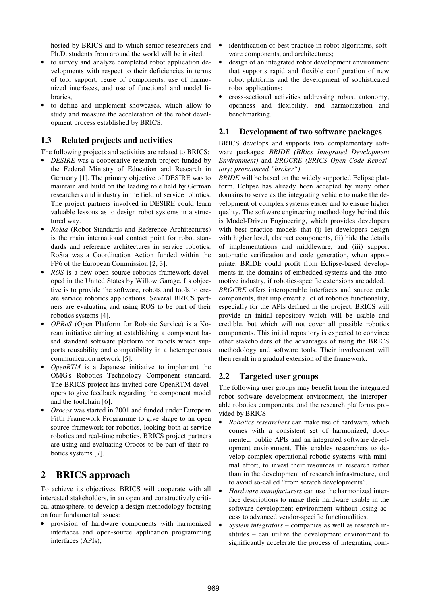hosted by BRICS and to which senior researchers and Ph.D. students from around the world will be invited,

- to survey and analyze completed robot application developments with respect to their deficiencies in terms of tool support, reuse of components, use of harmonized interfaces, and use of functional and model libraries,
- to define and implement showcases, which allow to study and measure the acceleration of the robot development process established by BRICS.

## **1.3 Related projects and activities**

The following projects and activities are related to BRICS:

- *DESIRE* was a cooperative research project funded by the Federal Ministry of Education and Research in Germany [1]. The primary objective of DESIRE was to maintain and build on the leading role held by German researchers and industry in the field of service robotics. The project partners involved in DESIRE could learn valuable lessons as to design robot systems in a structured way.
- *RoSta* (Robot Standards and Reference Architectures) is the main international contact point for robot standards and reference architectures in service robotics. RoSta was a Coordination Action funded within the FP6 of the European Commission [2, 3].
- *ROS* is a new open source robotics framework developed in the United States by Willow Garage. Its objective is to provide the software, robots and tools to create service robotics applications. Several BRICS partners are evaluating and using ROS to be part of their robotics systems [4].
- *OPRoS* (Open Platform for Robotic Service) is a Korean initiative aiming at establishing a component based standard software platform for robots which supports reusability and compatibility in a heterogeneous communication network [5].
- *OpenRTM* is a Japanese initiative to implement the OMG's Robotics Technology Component standard. The BRICS project has invited core OpenRTM developers to give feedback regarding the component model and the toolchain [6].
- *Orocos* was started in 2001 and funded under European Fifth Framework Programme to give shape to an open source framework for robotics, looking both at service robotics and real-time robotics. BRICS project partners are using and evaluating Orocos to be part of their robotics systems [7].

# **2 BRICS approach**

To achieve its objectives, BRICS will cooperate with all interested stakeholders, in an open and constructively critical atmosphere, to develop a design methodology focusing on four fundamental issues:

• provision of hardware components with harmonized interfaces and open-source application programming interfaces (APIs);

- identification of best practice in robot algorithms, software components, and architectures;
- design of an integrated robot development environment that supports rapid and flexible configuration of new robot platforms and the development of sophisticated robot applications;
- cross-sectional activities addressing robust autonomy, openness and flexibility, and harmonization and benchmarking.

### **2.1 Development of two software packages**

BRICS develops and supports two complementary software packages: *BRIDE (BRics Integrated Development Environment)* and *BROCRE (BRICS Open Code Repository; pronounced "broker")*.

*BRIDE* will be based on the widely supported Eclipse platform. Eclipse has already been accepted by many other domains to serve as the integrating vehicle to make the development of complex systems easier and to ensure higher quality. The software engineering methodology behind this is Model-Driven Engineering, which provides developers with best practice models that (i) let developers design with higher level, abstract components, (ii) hide the details of implementations and middleware, and (iii) support automatic verification and code generation, when appropriate. BRIDE could profit from Eclipse-based developments in the domains of embedded systems and the automotive industry, if robotics-specific extensions are added.

*BROCRE* offers interoperable interfaces and source code components, that implement a lot of robotics functionality, especially for the APIs defined in the project. BRICS will provide an initial repository which will be usable and credible, but which will not cover all possible robotics components. This initial repository is expected to convince other stakeholders of the advantages of using the BRICS methodology and software tools. Their involvement will then result in a gradual extension of the framework.

## **2.2 Targeted user groups**

The following user groups may benefit from the integrated robot software development environment, the interoperable robotics components, and the research platforms provided by BRICS:

- *Robotics researchers* can make use of hardware, which comes with a consistent set of harmonized, documented, public APIs and an integrated software development environment. This enables researchers to develop complex operational robotic systems with minimal effort, to invest their resources in research rather than in the development of research infrastructure, and to avoid so-called "from scratch developments".
- *Hardware manufacturers* can use the harmonized interface descriptions to make their hardware usable in the software development environment without losing access to advanced vendor-specific functionalities.
- *System integrators* companies as well as research institutes – can utilize the development environment to significantly accelerate the process of integrating com-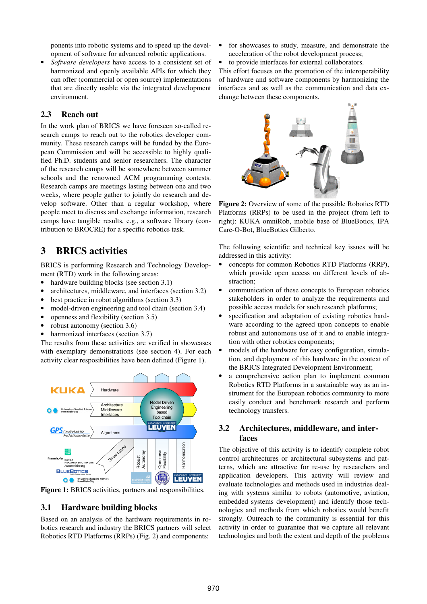ponents into robotic systems and to speed up the development of software for advanced robotic applications.

• *Software developers* have access to a consistent set of harmonized and openly available APIs for which they can offer (commercial or open source) implementations that are directly usable via the integrated development environment.

#### **2.3 Reach out**

In the work plan of BRICS we have foreseen so-called research camps to reach out to the robotics developer community. These research camps will be funded by the European Commission and will be accessible to highly qualified Ph.D. students and senior researchers. The character of the research camps will be somewhere between summer schools and the renowned ACM programming contests. Research camps are meetings lasting between one and two weeks, where people gather to jointly do research and develop software. Other than a regular workshop, where people meet to discuss and exchange information, research camps have tangible results, e.g., a software library (contribution to BROCRE) for a specific robotics task.

# **3 BRICS activities**

BRICS is performing Research and Technology Development (RTD) work in the following areas:

- hardware building blocks (see section 3.1)
- architectures, middleware, and interfaces (section 3.2)
- best practice in robot algorithms (section 3.3)
- model-driven engineering and tool chain (section 3.4)
- openness and flexibility (section 3.5)
- robust autonomy (section 3.6)
- harmonized interfaces (section 3.7)

The results from these activities are verified in showcases with exemplary demonstrations (see section 4). For each activity clear resposibilities have been defined (Figure 1).



**Figure 1:** BRICS activities, partners and responsibilities.

### **3.1 Hardware building blocks**

Based on an analysis of the hardware requirements in robotics research and industry the BRICS partners will select Robotics RTD Platforms (RRPs) (Fig. 2) and components:

- for showcases to study, measure, and demonstrate the acceleration of the robot development process;
- to provide interfaces for external collaborators.

This effort focuses on the promotion of the interoperability of hardware and software components by harmonizing the interfaces and as well as the communication and data exchange between these components.



**Figure 2:** Overview of some of the possible Robotics RTD Platforms (RRPs) to be used in the project (from left to right): KUKA omniRob, mobile base of BlueBotics, IPA Care-O-Bot, BlueBotics Gilberto.

The following scientific and technical key issues will be addressed in this activity:

- concepts for common Robotics RTD Platforms (RRP), which provide open access on different levels of abstraction;
- communication of these concepts to European robotics stakeholders in order to analyze the requirements and possible access models for such research platforms;
- specification and adaptation of existing robotics hardware according to the agreed upon concepts to enable robust and autonomous use of it and to enable integration with other robotics components;
- models of the hardware for easy configuration, simulation, and deployment of this hardware in the context of the BRICS Integrated Development Environment;
- a comprehensive action plan to implement common Robotics RTD Platforms in a sustainable way as an instrument for the European robotics community to more easily conduct and benchmark research and perform technology transfers.

### **3.2 Architectures, middleware, and interfaces**

The objective of this activity is to identify complete robot control architectures or architectural subsystems and patterns, which are attractive for re-use by researchers and application developers. This activity will review and evaluate technologies and methods used in industries dealing with systems similar to robots (automotive, aviation, embedded systems development) and identify those technologies and methods from which robotics would benefit strongly. Outreach to the community is essential for this activity in order to guarantee that we capture all relevant technologies and both the extent and depth of the problems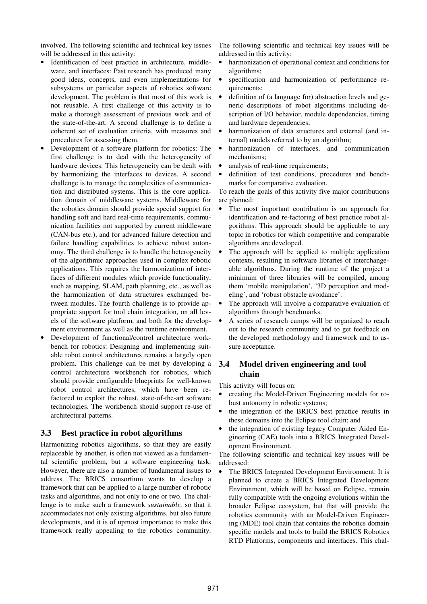involved. The following scientific and technical key issues will be addressed in this activity:

- Identification of best practice in architecture, middleware, and interfaces: Past research has produced many good ideas, concepts, and even implementations for subsystems or particular aspects of robotics software development. The problem is that most of this work is not reusable. A first challenge of this activity is to make a thorough assessment of previous work and of the state-of-the-art. A second challenge is to define a coherent set of evaluation criteria, with measures and procedures for assessing them.
- Development of a software platform for robotics: The first challenge is to deal with the heterogeneity of hardware devices. This heterogeneity can be dealt with by harmonizing the interfaces to devices. A second challenge is to manage the complexities of communication and distributed systems. This is the core application domain of middleware systems. Middleware for the robotics domain should provide special support for handling soft and hard real-time requirements, communication facilities not supported by current middleware (CAN-bus etc.), and for advanced failure detection and failure handling capabilities to achieve robust autonomy. The third challenge is to handle the heterogeneity of the algorithmic approaches used in complex robotic applications. This requires the harmonization of interfaces of different modules which provide functionality, such as mapping, SLAM, path planning, etc., as well as the harmonization of data structures exchanged between modules. The fourth challenge is to provide appropriate support for tool chain integration, on all levels of the software platform, and both for the development environment as well as the runtime environment.
- Development of functional/control architecture workbench for robotics: Designing and implementing suitable robot control architectures remains a largely open problem. This challenge can be met by developing a control architecture workbench for robotics, which should provide configurable blueprints for well-known robot control architectures, which have been refactored to exploit the robust, state-of-the-art software technologies. The workbench should support re-use of architectural patterns.

#### **3.3 Best practice in robot algorithms**

Harmonizing robotics algorithms, so that they are easily replaceable by another, is often not viewed as a fundamental scientific problem, but a software engineering task. However, there are also a number of fundamental issues to address. The BRICS consortium wants to develop a framework that can be applied to a large number of robotic tasks and algorithms, and not only to one or two. The challenge is to make such a framework *sustainable,* so that it accommodates not only existing algorithms, but also future developments, and it is of upmost importance to make this framework really appealing to the robotics community.

The following scientific and technical key issues will be addressed in this activity:

- harmonization of operational context and conditions for algorithms;
- specification and harmonization of performance requirements;
- definition of (a language for) abstraction levels and generic descriptions of robot algorithms including description of I/O behavior, module dependencies, timing and hardware dependencies;
- harmonization of data structures and external (and internal) models referred to by an algorithm;
- harmonization of interfaces, and communication mechanisms;
- analysis of real-time requirements;
- definition of test conditions, procedures and benchmarks for comparative evaluation.

To reach the goals of this activity five major contributions are planned:

- The most important contribution is an approach for identification and re-factoring of best practice robot algorithms. This approach should be applicable to any topic in robotics for which competitive and comparable algorithms are developed.
- The approach will be applied to multiple application contexts, resulting in software libraries of interchangeable algorithms. During the runtime of the project a minimum of three libraries will be compiled, among them 'mobile manipulation', '3D perception and modeling', and 'robust obstacle avoidance'.
- The approach will involve a comparative evaluation of algorithms through benchmarks.
- A series of research camps will be organized to reach out to the research community and to get feedback on the developed methodology and framework and to assure acceptance.

## **3.4 Model driven engineering and tool chain**

This activity will focus on:

- creating the Model-Driven Engineering models for robust autonomy in robotic systems;
- the integration of the BRICS best practice results in these domains into the Eclipse tool chain; and
- the integration of existing legacy Computer Aided Engineering (CAE) tools into a BRICS Integrated Development Environment.

The following scientific and technical key issues will be addressed:

• The BRICS Integrated Development Environment: It is planned to create a BRICS Integrated Development Environment, which will be based on Eclipse, remain fully compatible with the ongoing evolutions within the broader Eclipse ecosystem, but that will provide the robotics community with an Model-Driven Engineering (MDE) tool chain that contains the robotics domain specific models and tools to build the BRICS Robotics RTD Platforms, components and interfaces. This chal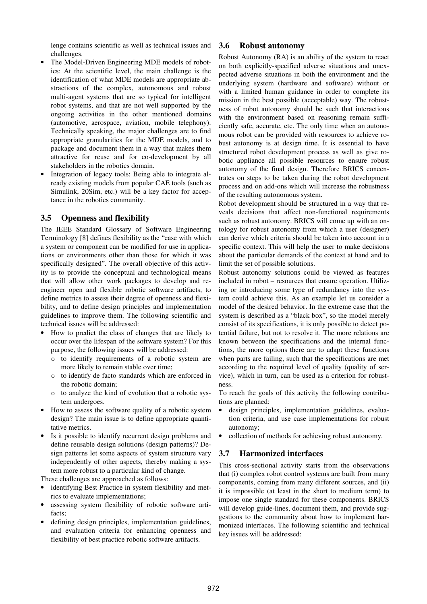lenge contains scientific as well as technical issues and challenges.

- The Model-Driven Engineering MDE models of robotics: At the scientific level, the main challenge is the identification of what MDE models are appropriate abstractions of the complex, autonomous and robust multi-agent systems that are so typical for intelligent robot systems, and that are not well supported by the ongoing activities in the other mentioned domains (automotive, aerospace, aviation, mobile telephony). Technically speaking, the major challenges are to find appropriate granularities for the MDE models, and to package and document them in a way that makes them attractive for reuse and for co-development by all stakeholders in the robotics domain.
- Integration of legacy tools: Being able to integrate already existing models from popular CAE tools (such as Simulink, 20Sim, etc.) will be a key factor for acceptance in the robotics community.

### **3.5 Openness and flexibility**

The IEEE Standard Glossary of Software Engineering Terminology [8] defines flexibility as the "ease with which a system or component can be modified for use in applications or environments other than those for which it was specifically designed". The overall objective of this activity is to provide the conceptual and technological means that will allow other work packages to develop and reengineer open and flexible robotic software artifacts, to define metrics to assess their degree of openness and flexibility, and to define design principles and implementation guidelines to improve them. The following scientific and technical issues will be addressed:

- How to predict the class of changes that are likely to occur over the lifespan of the software system? For this purpose, the following issues will be addressed:
	- o to identify requirements of a robotic system are more likely to remain stable over time;
	- o to identify de facto standards which are enforced in the robotic domain;
	- o to analyze the kind of evolution that a robotic system undergoes.
- How to assess the software quality of a robotic system design? The main issue is to define appropriate quantitative metrics.
- Is it possible to identify recurrent design problems and define reusable design solutions (design patterns)? Design patterns let some aspects of system structure vary independently of other aspects, thereby making a system more robust to a particular kind of change.

These challenges are approached as follows:

- identifying Best Practice in system flexibility and metrics to evaluate implementations;
- assessing system flexibility of robotic software artifacts;
- defining design principles, implementation guidelines, and evaluation criteria for enhancing openness and flexibility of best practice robotic software artifacts.

#### **3.6 Robust autonomy**

Robust Autonomy (RA) is an ability of the system to react on both explicitly-specified adverse situations and unexpected adverse situations in both the environment and the underlying system (hardware and software) without or with a limited human guidance in order to complete its mission in the best possible (acceptable) way. The robustness of robot autonomy should be such that interactions with the environment based on reasoning remain sufficiently safe, accurate, etc. The only time when an autonomous robot can be provided with resources to achieve robust autonomy is at design time. It is essential to have structured robot development process as well as give robotic appliance all possible resources to ensure robust autonomy of the final design. Therefore BRICS concentrates on steps to be taken during the robot development process and on add-ons which will increase the robustness of the resulting autonomous system.

Robot development should be structured in a way that reveals decisions that affect non-functional requirements such as robust autonomy. BRICS will come up with an ontology for robust autonomy from which a user (designer) can derive which criteria should be taken into account in a specific context. This will help the user to make decisions about the particular demands of the context at hand and to limit the set of possible solutions.

Robust autonomy solutions could be viewed as features included in robot – resources that ensure operation. Utilizing or introducing some type of redundancy into the system could achieve this. As an example let us consider a model of the desired behavior. In the extreme case that the system is described as a "black box", so the model merely consist of its specifications, it is only possible to detect potential failure, but not to resolve it. The more relations are known between the specifications and the internal functions, the more options there are to adapt these functions when parts are failing, such that the specifications are met according to the required level of quality (quality of service), which in turn, can be used as a criterion for robustness.

To reach the goals of this activity the following contributions are planned:

- design principles, implementation guidelines, evaluation criteria, and use case implementations for robust autonomy;
- collection of methods for achieving robust autonomy.

#### **3.7 Harmonized interfaces**

This cross-sectional activity starts from the observations that (i) complex robot control systems are built from many components, coming from many different sources, and (ii) it is impossible (at least in the short to medium term) to impose one single standard for these components. BRICS will develop guide-lines, document them, and provide suggestions to the community about how to implement harmonized interfaces. The following scientific and technical key issues will be addressed: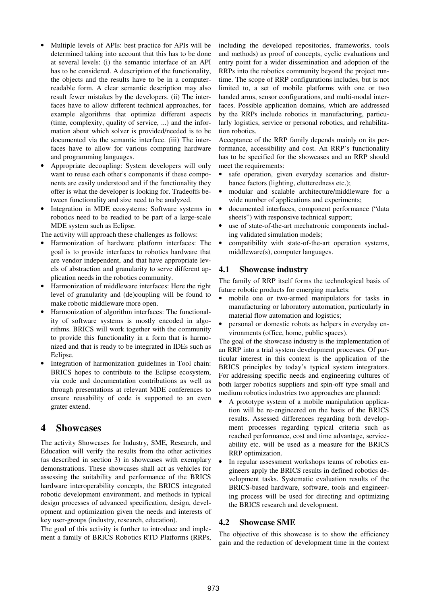- Multiple levels of APIs: best practice for APIs will be determined taking into account that this has to be done at several levels: (i) the semantic interface of an API has to be considered. A description of the functionality, the objects and the results have to be in a computerreadable form. A clear semantic description may also result fewer mistakes by the developers. (ii) The interfaces have to allow different technical approaches, for example algorithms that optimize different aspects (time, complexity, quality of service, ...) and the information about which solver is provided/needed is to be documented via the semantic interface. (iii) The interfaces have to allow for various computing hardware and programming languages.
- Appropriate decoupling: System developers will only want to reuse each other's components if these components are easily understood and if the functionality they offer is what the developer is looking for. Tradeoffs between functionality and size need to be analyzed.
- Integration in MDE ecosystems: Software systems in robotics need to be readied to be part of a large-scale MDE system such as Eclipse.

The activity will approach these challenges as follows:

- Harmonization of hardware platform interfaces: The goal is to provide interfaces to robotics hardware that are vendor independent, and that have appropriate levels of abstraction and granularity to serve different application needs in the robotics community.
- Harmonization of middleware interfaces: Here the right level of granularity and (de)coupling will be found to make robotic middleware more open.
- Harmonization of algorithm interfaces: The functionality of software systems is mostly encoded in algorithms. BRICS will work together with the community to provide this functionality in a form that is harmonized and that is ready to be integrated in IDEs such as Eclipse.
- Integration of harmonization guidelines in Tool chain: BRICS hopes to contribute to the Eclipse ecosystem, via code and documentation contributions as well as through presentations at relevant MDE conferences to ensure reusability of code is supported to an even grater extend.

# **4 Showcases**

The activity Showcases for Industry, SME, Research, and Education will verify the results from the other activities (as described in section 3) in showcases with exemplary demonstrations. These showcases shall act as vehicles for assessing the suitability and performance of the BRICS hardware interoperability concepts, the BRICS integrated robotic development environment, and methods in typical design processes of advanced specification, design, development and optimization given the needs and interests of key user-groups (industry, research, education).

The goal of this activity is further to introduce and implement a family of BRICS Robotics RTD Platforms (RRPs, including the developed repositories, frameworks, tools and methods) as proof of concepts, cyclic evaluations and entry point for a wider dissemination and adoption of the RRPs into the robotics community beyond the project runtime. The scope of RRP configurations includes, but is not limited to, a set of mobile platforms with one or two handed arms, sensor configurations, and multi-modal interfaces. Possible application domains, which are addressed by the RRPs include robotics in manufacturing, particularly logistics, service or personal robotics, and rehabilitation robotics.

Acceptance of the RRP family depends mainly on its performance, accessibility and cost. An RRP's functionality has to be specified for the showcases and an RRP should meet the requirements:

- safe operation, given everyday scenarios and disturbance factors (lighting, clutteredness etc.);
- modular and scalable architecture/middleware for a wide number of applications and experiments;
- documented interfaces, component performance ("data sheets") with responsive technical support;
- use of state-of-the-art mechatronic components including validated simulation models;
- compatibility with state-of-the-art operation systems, middleware(s), computer languages.

## **4.1 Showcase industry**

The family of RRP itself forms the technological basis of future robotic products for emerging markets:

- mobile one or two-armed manipulators for tasks in manufacturing or laboratory automation, particularly in material flow automation and logistics;
- personal or domestic robots as helpers in everyday environments (office, home, public spaces).

The goal of the showcase industry is the implementation of an RRP into a trial system development processes. Of particular interest in this context is the application of the BRICS principles by today's typical system integrators. For addressing specific needs and engineering cultures of both larger robotics suppliers and spin-off type small and medium robotics industries two approaches are planned:

- A prototype system of a mobile manipulation application will be re-engineered on the basis of the BRICS results. Assessed differences regarding both development processes regarding typical criteria such as reached performance, cost and time advantage, serviceability etc. will be used as a measure for the BRICS RRP optimization.
- In regular assessment workshops teams of robotics engineers apply the BRICS results in defined robotics development tasks. Systematic evaluation results of the BRICS-based hardware, software, tools and engineering process will be used for directing and optimizing the BRICS research and development.

## **4.2 Showcase SME**

The objective of this showcase is to show the efficiency gain and the reduction of development time in the context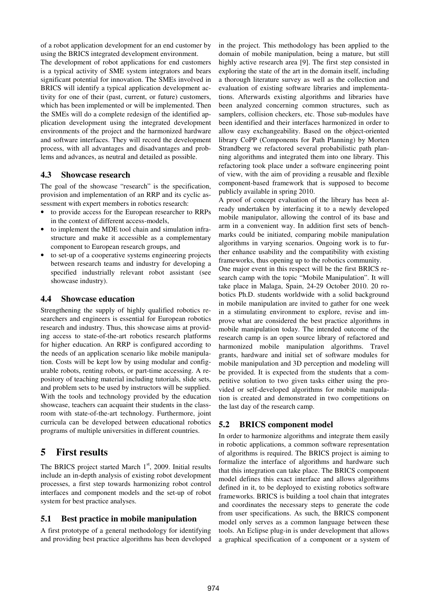of a robot application development for an end customer by using the BRICS integrated development environment.

The development of robot applications for end customers is a typical activity of SME system integrators and bears significant potential for innovation. The SMEs involved in BRICS will identify a typical application development activity for one of their (past, current, or future) customers, which has been implemented or will be implemented. Then the SMEs will do a complete redesign of the identified application development using the integrated development environments of the project and the harmonized hardware and software interfaces. They will record the development process, with all advantages and disadvantages and problems and advances, as neutral and detailed as possible.

#### **4.3 Showcase research**

The goal of the showcase "research" is the specification, provision and implementation of an RRP and its cyclic assessment with expert members in robotics research:

- to provide access for the European researcher to RRPs in the context of different access-models,
- to implement the MDE tool chain and simulation infrastructure and make it accessible as a complementary component to European research groups, and
- to set-up of a cooperative systems engineering projects between research teams and industry for developing a specified industrially relevant robot assistant (see showcase industry).

#### **4.4 Showcase education**

Strengthening the supply of highly qualified robotics researchers and engineers is essential for European robotics research and industry. Thus, this showcase aims at providing access to state-of-the-art robotics research platforms for higher education. An RRP is configured according to the needs of an application scenario like mobile manipulation. Costs will be kept low by using modular and configurable robots, renting robots, or part-time accessing. A repository of teaching material including tutorials, slide sets, and problem sets to be used by instructors will be supplied. With the tools and technology provided by the education showcase, teachers can acquaint their students in the classroom with state-of-the-art technology. Furthermore, joint curricula can be developed between educational robotics programs of multiple universities in different countries.

# **5 First results**

The BRICS project started March  $1<sup>st</sup>$ , 2009. Initial results include an in-depth analysis of existing robot development processes, a first step towards harmonizing robot control interfaces and component models and the set-up of robot system for best practice analyses.

#### **5.1 Best practice in mobile manipulation**

A first prototype of a general methodology for identifying and providing best practice algorithms has been developed in the project. This methodology has been applied to the domain of mobile manipulation, being a mature, but still highly active research area [9]. The first step consisted in exploring the state of the art in the domain itself, including a thorough literature survey as well as the collection and evaluation of existing software libraries and implementations. Afterwards existing algorithms and libraries have been analyzed concerning common structures, such as samplers, collision checkers, etc. Those sub-modules have been identified and their interfaces harmonized in order to allow easy exchangeability. Based on the object-oriented library CoPP (Components for Path Planning) by Morten Strandberg we refactored several probabilistic path planning algorithms and integrated them into one library. This refactoring took place under a software engineering point of view, with the aim of providing a reusable and flexible component-based framework that is supposed to become publicly available in spring 2010.

A proof of concept evaluation of the library has been already undertaken by interfacing it to a newly developed mobile manipulator, allowing the control of its base and arm in a convenient way. In addition first sets of benchmarks could be initiated, comparing mobile manipulation algorithms in varying scenarios. Ongoing work is to further enhance usability and the compatibility with existing frameworks, thus opening up to the robotics community.

One major event in this respect will be the first BRICS research camp with the topic "Mobile Manipulation". It will take place in Malaga, Spain, 24-29 October 2010. 20 robotics Ph.D. students worldwide with a solid background in mobile manipulation are invited to gather for one week in a stimulating environment to explore, revise and improve what are considered the best practice algorithms in mobile manipulation today. The intended outcome of the research camp is an open source library of refactored and harmonized mobile manipulation algorithms. Travel grants, hardware and initial set of software modules for mobile manipulation and 3D perception and modeling will be provided. It is expected from the students that a competitive solution to two given tasks either using the provided or self-developed algorithms for mobile manipulation is created and demonstrated in two competitions on the last day of the research camp.

### **5.2 BRICS component model**

In order to harmonize algorithms and integrate them easily in robotic applications, a common software representation of algorithms is required. The BRICS project is aiming to formalize the interface of algorithms and hardware such that this integration can take place. The BRICS component model defines this exact interface and allows algorithms defined in it, to be deployed to existing robotics software frameworks. BRICS is building a tool chain that integrates and coordinates the necessary steps to generate the code from user specifications. As such, the BRICS component model only serves as a common language between these tools. An Eclipse plug-in is under development that allows a graphical specification of a component or a system of